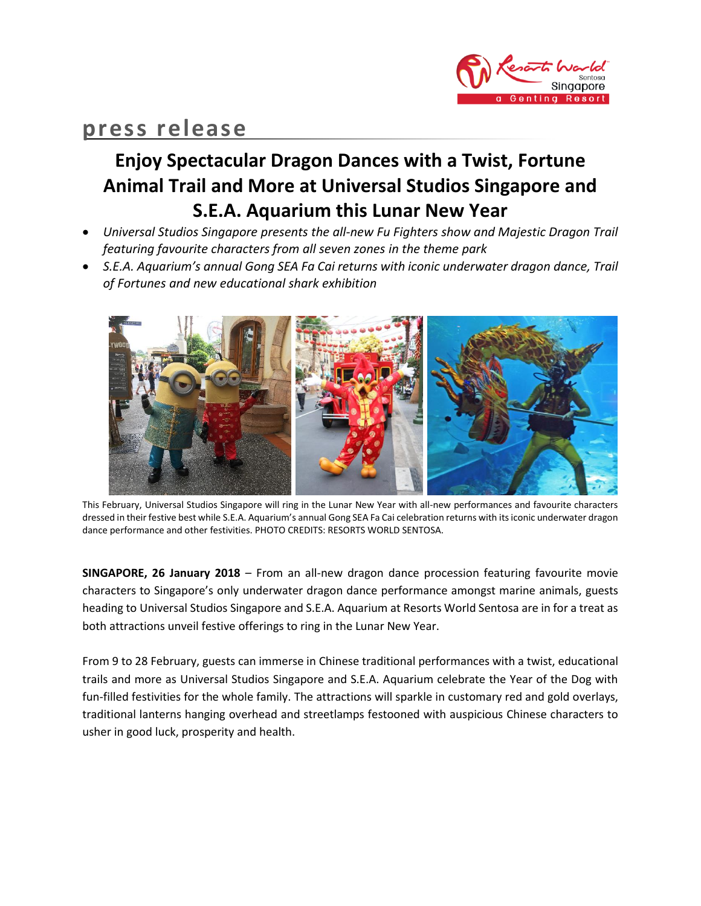

# **press release**

# **Enjoy Spectacular Dragon Dances with a Twist, Fortune Animal Trail and More at Universal Studios Singapore and S.E.A. Aquarium this Lunar New Year**

- *Universal Studios Singapore presents the all-new Fu Fighters show and Majestic Dragon Trail featuring favourite characters from all seven zones in the theme park*
- **•** S.E.A. Aquarium's annual Gong SEA Fa Cai returns with iconic underwater dragon dance, Trail *of Fortunes and new educational shark exhibition*



This February, Universal Studios Singapore will ring in the Lunar New Year with all-new performances and favourite characters dressed in their festive best while S.E.A. Aquarium's annual Gong SEA Fa Cai celebration returns with its iconic underwater dragon dance performance and other festivities. PHOTO CREDITS: RESORTS WORLD SENTOSA.

**SINGAPORE, 26 January 2018** – From an all-new dragon dance procession featuring favourite movie characters to Singapore's only underwater dragon dance performance amongst marine animals, guests heading to Universal Studios Singapore and S.E.A. Aquarium at Resorts World Sentosa are in for a treat as both attractions unveil festive offerings to ring in the Lunar New Year.

From 9 to 28 February, guests can immerse in Chinese traditional performances with a twist, educational trails and more as Universal Studios Singapore and S.E.A. Aquarium celebrate the Year of the Dog with fun-filled festivities for the whole family. The attractions will sparkle in customary red and gold overlays, traditional lanterns hanging overhead and streetlamps festooned with auspicious Chinese characters to usher in good luck, prosperity and health.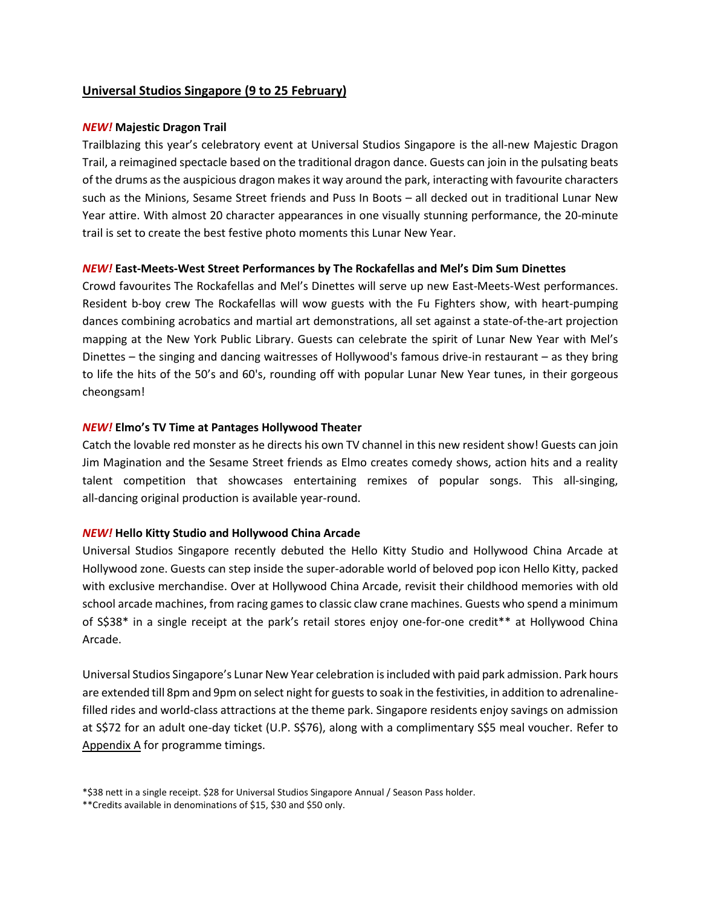# **Universal Studios Singapore (9 to 25 February)**

## *NEW!* **Majestic Dragon Trail**

Trailblazing this year's celebratory event at Universal Studios Singapore is the all-new Majestic Dragon Trail, a reimagined spectacle based on the traditional dragon dance. Guests can join in the pulsating beats of the drums as the auspicious dragon makes it way around the park, interacting with favourite characters such as the Minions, Sesame Street friends and Puss In Boots – all decked out in traditional Lunar New Year attire. With almost 20 character appearances in one visually stunning performance, the 20-minute trail is set to create the best festive photo moments this Lunar New Year.

## *NEW!* **East-Meets-West Street Performances by The Rockafellas and Mel's Dim Sum Dinettes**

Crowd favourites The Rockafellas and Mel's Dinettes will serve up new East-Meets-West performances. Resident b-boy crew The Rockafellas will wow guests with the Fu Fighters show, with heart-pumping dances combining acrobatics and martial art demonstrations, all set against a state-of-the-art projection mapping at the New York Public Library. Guests can celebrate the spirit of Lunar New Year with Mel's Dinettes – the singing and dancing waitresses of Hollywood's famous drive-in restaurant – as they bring to life the hits of the 50's and 60's, rounding off with popular Lunar New Year tunes, in their gorgeous cheongsam!

## *NEW!* **Elmo's TV Time at Pantages Hollywood Theater**

Catch the lovable red monster as he directs his own TV channel in this new resident show! Guests can join Jim Magination and the Sesame Street friends as Elmo creates comedy shows, action hits and a reality talent competition that showcases entertaining remixes of popular songs. This all-singing, all-dancing original production is available year-round.

## *NEW!* **Hello Kitty Studio and Hollywood China Arcade**

Universal Studios Singapore recently debuted the Hello Kitty Studio and Hollywood China Arcade at Hollywood zone. Guests can step inside the super-adorable world of beloved pop icon Hello Kitty, packed with exclusive merchandise. Over at Hollywood China Arcade, revisit their childhood memories with old school arcade machines, from racing games to classic claw crane machines. Guests who spend a minimum of S\$38\* in a single receipt at the park's retail stores enjoy one-for-one credit\*\* at Hollywood China Arcade.

Universal Studios Singapore's Lunar New Year celebration is included with paid park admission. Park hours are extended till 8pm and 9pm on select night for guests to soak in the festivities, in addition to adrenalinefilled rides and world-class attractions at the theme park. Singapore residents enjoy savings on admission at S\$72 for an adult one-day ticket (U.P. S\$76), along with a complimentary S\$5 meal voucher. Refer to Appendix A for programme timings.

<sup>\*\$38</sup> nett in a single receipt. \$28 for Universal Studios Singapore Annual / Season Pass holder.

<sup>\*\*</sup>Credits available in denominations of \$15, \$30 and \$50 only.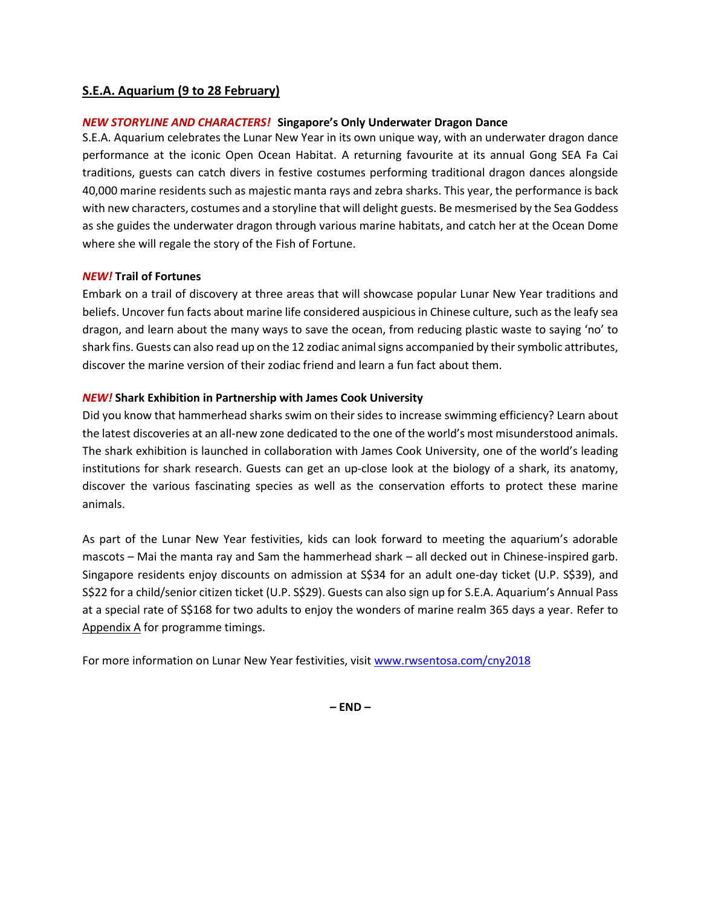# **S.E.A. Aquarium (9 to 28 February)**

# *NEW STORYLINE AND CHARACTERS!* **Singapore's Only Underwater Dragon Dance**

S.E.A. Aquarium celebrates the Lunar New Year in its own unique way, with an underwater dragon dance performance at the iconic Open Ocean Habitat. A returning favourite at its annual Gong SEA Fa Cai traditions, guests can catch divers in festive costumes performing traditional dragon dances alongside 40,000 marine residents such as majestic manta rays and zebra sharks. This year, the performance is back with new characters, costumes and a storyline that will delight guests. Be mesmerised by the Sea Goddess as she guides the underwater dragon through various marine habitats, and catch her at the Ocean Dome where she will regale the story of the Fish of Fortune.

## *NEW!* **Trail of Fortunes**

Embark on a trail of discovery at three areas that will showcase popular Lunar New Year traditions and beliefs. Uncover fun facts about marine life considered auspicious in Chinese culture, such as the leafy sea dragon, and learn about the many ways to save the ocean, from reducing plastic waste to saying 'no' to shark fins. Guests can also read up on the 12 zodiac animal signs accompanied by their symbolic attributes, discover the marine version of their zodiac friend and learn a fun fact about them.

# *NEW!* **Shark Exhibition in Partnership with James Cook University**

Did you know that hammerhead sharks swim on their sides to increase swimming efficiency? Learn about the latest discoveries at an all-new zone dedicated to the one of the world's most misunderstood animals. The shark exhibition is launched in collaboration with James Cook University, one of the world's leading institutions for shark research. Guests can get an up-close look at the biology of a shark, its anatomy, discover the various fascinating species as well as the conservation efforts to protect these marine animals.

As part of the Lunar New Year festivities, kids can look forward to meeting the aquarium's adorable mascots – Mai the manta ray and Sam the hammerhead shark – all decked out in Chinese-inspired garb. Singapore residents enjoy discounts on admission at S\$34 for an adult one-day ticket (U.P. S\$39), and S\$22 for a child/senior citizen ticket (U.P. S\$29). Guests can also sign up for S.E.A. Aquarium's Annual Pass at a special rate of S\$168 for two adults to enjoy the wonders of marine realm 365 days a year. Refer to Appendix A for programme timings.

For more information on Lunar New Year festivities, visit [www.rwsentosa.com/cny2018](http://www.rwsentosa.com/cny2018)

**– END –**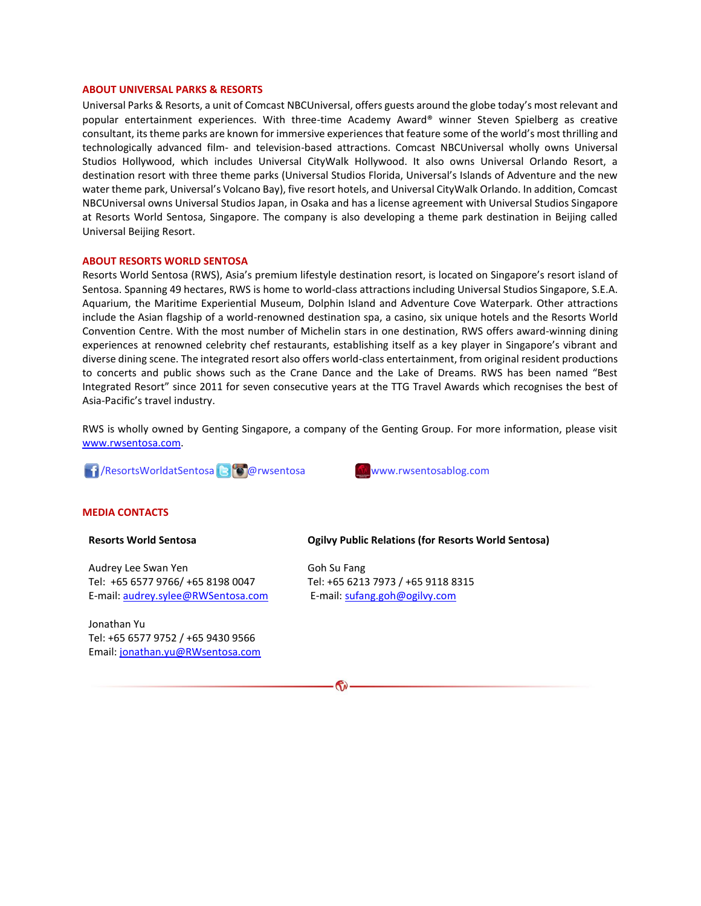#### **ABOUT UNIVERSAL PARKS & RESORTS**

Universal Parks & Resorts, a unit of Comcast NBCUniversal, offers guests around the globe today's most relevant and popular entertainment experiences. With three-time Academy Award® winner Steven Spielberg as creative consultant, its theme parks are known for immersive experiences that feature some of the world's most thrilling and technologically advanced film- and television-based attractions. Comcast NBCUniversal wholly owns Universal Studios Hollywood, which includes Universal CityWalk Hollywood. It also owns Universal Orlando Resort, a destination resort with three theme parks (Universal Studios Florida, Universal's Islands of Adventure and the new water theme park, Universal's Volcano Bay), five resort hotels, and Universal CityWalk Orlando. In addition, Comcast NBCUniversal owns Universal Studios Japan, in Osaka and has a license agreement with Universal Studios Singapore at Resorts World Sentosa, Singapore. The company is also developing a theme park destination in Beijing called Universal Beijing Resort.

#### **ABOUT RESORTS WORLD SENTOSA**

Resorts World Sentosa (RWS), Asia's premium lifestyle destination resort, is located on Singapore's resort island of Sentosa. Spanning 49 hectares, RWS is home to world-class attractions including Universal Studios Singapore, S.E.A. Aquarium, the Maritime Experiential Museum, Dolphin Island and Adventure Cove Waterpark. Other attractions include the Asian flagship of a world-renowned destination spa, a casino, six unique hotels and the Resorts World Convention Centre. With the most number of Michelin stars in one destination, RWS offers award-winning dining experiences at renowned celebrity chef restaurants, establishing itself as a key player in Singapore's vibrant and diverse dining scene. The integrated resort also offers world-class entertainment, from original resident productions to concerts and public shows such as the Crane Dance and the Lake of Dreams. RWS has been named "Best Integrated Resort" since 2011 for seven consecutive years at the TTG Travel Awards which recognises the best of Asia-Pacific's travel industry.

RWS is wholly owned by Genting Singapore, a company of the Genting Group. For more information, please visit [www.rwsentosa.com.](http://www.rwsentosa.com/)

**11**/ResortsWorldatSentosa **@rwsentosa www.rwsentosablog.com** 

#### **MEDIA CONTACTS**

#### **Resorts World Sentosa**

Audrey Lee Swan Yen Tel: +65 6577 9766/ +65 8198 0047 E-mail[: audrey.sylee@RWSentosa.com](mailto:audrey.sylee@RWSentosa.com)

Jonathan Yu Tel: +65 6577 9752 / +65 9430 9566 Email[: jonathan.yu@RWsentosa.com](file:///C:/Users/loolin.chua/AppData/Local/Microsoft/Windows/Temporary%20Internet%20Files/Content.Outlook/KPF1T9X7/jonathan.yu@RWsentosa.com)

#### **Ogilvy Public Relations (for Resorts World Sentosa)**

Goh Su Fang Tel: +65 6213 7973 / +65 9118 8315 E-mail: [sufang.goh@ogilvy.com](mailto:sufang.goh@ogilvy.com)

 $\mathbf{G}$